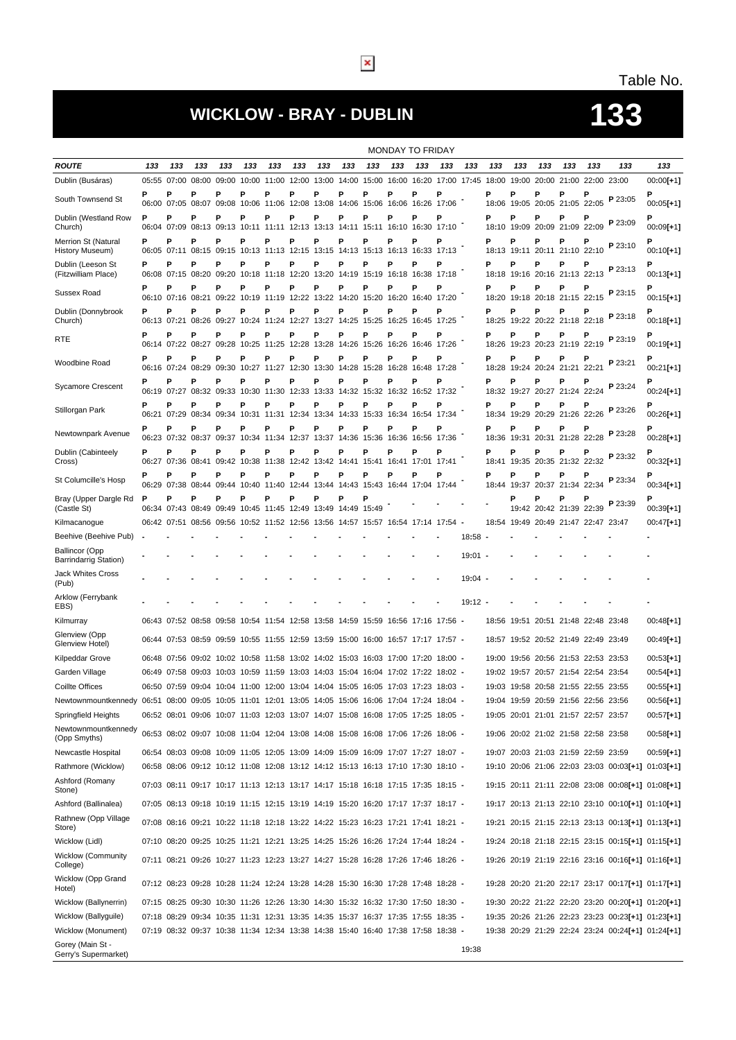## **WICKLOW - BRAY - DUBLIN 133**

## Table No.

|                                                                                                                            | <b>MONDAY TO FRIDAY</b> |                  |                                                                                    |                  |                                                                        |                   |            |            |                  |            |                        |                                                            |                  |           |            |                        |             |                                                                            |                   |                                                   |                            |
|----------------------------------------------------------------------------------------------------------------------------|-------------------------|------------------|------------------------------------------------------------------------------------|------------------|------------------------------------------------------------------------|-------------------|------------|------------|------------------|------------|------------------------|------------------------------------------------------------|------------------|-----------|------------|------------------------|-------------|----------------------------------------------------------------------------|-------------------|---------------------------------------------------|----------------------------|
| <b>ROUTE</b>                                                                                                               | 133                     | 133              | 133                                                                                | 133              | 133                                                                    | 133               | 133        | 133        | 133              | 133        | 133                    | 133                                                        | 133              | 133       | 133        | 133                    | 133         | 133                                                                        | 133               | 133                                               | 133                        |
| Dublin (Busáras)                                                                                                           |                         | 05:55 07:00      | 08:00                                                                              |                  | 09:00 10:00 11:00 12:00                                                |                   |            | 13:00      |                  |            |                        | 14:00 15:00 16:00 16:20 17:00 17:45                        |                  |           | 18:00      |                        | 19:00 20:00 |                                                                            | 21:00 22:00 23:00 |                                                   | $00:00[+1]$                |
| South Townsend St                                                                                                          | P                       | P<br>06:00 07:05 | Р<br>08:07                                                                         | P                | Р<br>09:08 10:06 11:06 12:08                                           | P                 | Ρ          | P<br>13:08 | P<br>14:06       | Р          | P<br>15:06 16:06       | P                                                          | P<br>16:26 17:06 |           | Ρ          | P                      | P           | Ρ<br>18:06 19:05 20:05 21:05 22:05                                         |                   | P 23:05                                           | $00:05[+1]$                |
| Dublin (Westland Row<br>Church)                                                                                            | P                       | P<br>06:04 07:09 | Р<br>08:13                                                                         | P<br>09:13 10:11 | P                                                                      | Р<br>11:11        | Ρ<br>12:13 | P<br>13:13 | P<br>14:11       | P<br>15:11 | P<br>16:10             | P<br>16:30                                                 | P<br>17:10       |           | P          | Р<br>18:10 19:09       | P<br>20:09  | Ρ<br>21:09                                                                 | Р<br>22:09        | P 23:09                                           | Р<br>$00:09[+1]$           |
| Merrion St (Natural<br>History Museum)                                                                                     | Ρ                       | Ρ<br>06:05 07:11 | P                                                                                  | P                | Р<br>08:15 09:15 10:13 11:13 12:15                                     | Р                 | Р          | P<br>13:15 | P                | Р          | P                      | P<br>14:13 15:13 16:13 16:33 17:13                         | Ρ                |           | P          | P<br>18:13 19:11       | P           | Ρ<br>20:11 21:10 22:10                                                     | Р                 | P 23:10                                           | Р<br>$00:10[+1]$           |
| Dublin (Leeson St<br>(Fitzwilliam Place)                                                                                   | P                       | P<br>06:08 07:15 | P<br>08:20                                                                         | P                | Р<br>09:20 10:18 11:18 12:20 13:20                                     | Р                 | Ρ          | P          | Р                | Р          | P                      | P<br>14:19 15:19 16:18 16:38 17:18                         | P                |           | P          | P                      | P           | Ρ<br>18:18 19:16 20:16 21:13 22:13                                         | Р                 | P 23:13                                           | $00:13[+1]$                |
| Sussex Road                                                                                                                | P                       | P                | Р<br>06:10 07:16 08:21 09:22 10:19 11:19 12:22 13:22 14:20 15:20 16:20 16:40 17:20 | P                | Р                                                                      | Р                 | Р          | P          | P                | P          | Р                      | P                                                          | P                |           | P          | Р                      | P           | P<br>18:20 19:18 20:18 21:15 22:15                                         | Р                 | P 23:15                                           | $00:15[+1]$                |
| Dublin (Donnybrook<br>Church)                                                                                              | P                       | P<br>06:13 07:21 | P<br>08:26                                                                         | Р<br>09:27       | Р                                                                      | Р                 | Р          | P          | P                | Р          | P                      | Р<br>10:24 11:24 12:27 13:27 14:25 15:25 16:25 16:45 17:25 | Ρ                |           | Р          | Р                      | P           | Ρ<br>18:25 19:22 20:22 21:18 22:18                                         |                   | P 23:18                                           | $00:18[+1]$                |
| RTE                                                                                                                        | P                       | P<br>06:14 07:22 | Р<br>08:27                                                                         | Р                | Р<br>09:28 10:25 11:25 12:28                                           | P                 | Ρ          | P<br>13:28 | Р                | Р          | P<br>14:26 15:26 16:26 | P                                                          | P<br>16:46 17:26 |           | Р          | P<br>18:26 19:23       | P           | Р<br>20:23 21:19                                                           | Р<br>22:19        | P 23:19                                           | Р<br>$00:19[+1]$           |
| Woodbine Road                                                                                                              | P                       | Р<br>06:16 07:24 | P<br>08:29                                                                         | P<br>09:30       | Р<br>10:27 11:27 12:30                                                 | Р                 | Р          | P<br>13:30 | P<br>14:28       | P<br>15:28 | P<br>16:28             | P                                                          | P<br>16:48 17:28 |           | P<br>18:28 | Р                      | P           | Ρ<br>19:24 20:24 21:21 22:21                                               | P                 | P 23:21                                           | $00:21[+1]$                |
| Sycamore Crescent                                                                                                          | Ρ                       | Ρ<br>06:19 07:27 | P                                                                                  | Р                | Р<br>08:32 09:33 10:30 11:30 12:33 13:33                               | P                 | P          | P          | P<br>14:32 15:32 | Р          | Р                      | P<br>16:32 16:52 17:32                                     | P                |           | Р          | P<br>18:32 19:27 20:27 | P           | P<br>21:24 22:24                                                           | Р                 | P 23:24                                           | P<br>$00:24[+1]$           |
| Stillorgan Park                                                                                                            | P                       | P                | P<br>06:21 07:29 08:34 09:34 10:31 11:31 12:34 13:34                               | Р                | Р                                                                      | Р                 | Ρ          | P          | P                | Р          | P                      | P<br>14:33 15:33 16:34 16:54 17:34                         | P                |           | P          | P                      | P           | Ρ<br>18:34 19:29 20:29 21:26 22:26                                         | Р                 | P 23:26                                           | $00:26[+1]$                |
| Newtownpark Avenue                                                                                                         | P                       | P<br>06:23 07:32 | Р<br>08:37                                                                         | P                | Р<br>09:37 10:34 11:34 12:37                                           | Р                 | Р          | P<br>13:37 | P<br>14:36 15:36 | Р          | Р<br>16:36             | P<br>16:56                                                 | P<br>17:36       |           | P<br>18:36 | Р<br>19:31             | P           | P<br>20:31 21:28 22:28                                                     | P                 | P 23:28                                           | $00:28[+1]$                |
| Dublin (Cabinteely                                                                                                         | P                       | P                | Р                                                                                  | P                | Р                                                                      | P                 | Р          | P          | P                | P          | Р                      | Р                                                          | Ρ                |           | P          | P                      | P           | Ρ                                                                          | Р                 | P 23:32                                           | Ρ                          |
| Cross)<br>St Columcille's Hosp                                                                                             | P                       | 06:27 07:36<br>P | P                                                                                  | P                | 08:41 09:42 10:38 11:38 12:42 13:42 14:41 15:41 16:41 17:01 17:41<br>Р | Р                 | P          | Р          | Ρ                | Р          | P                      |                                                            | Р                |           | P          | P                      | P           | 18:41 19:35 20:35 21:32 22:32<br>Ρ                                         |                   | P 23:34                                           | $00:32[+1]$                |
| Bray (Upper Dargle Rd                                                                                                      | P                       | 06:29 07:38<br>P | 08:44<br>P                                                                         | 09:44<br>P       | 10:40<br>Р                                                             | 11:40 12:44<br>Р  | Р          | 13:44<br>P | P                | Р          |                        | 14:43 15:43 16:44 17:04 17:44                              |                  |           |            | 18:44 19:37<br>P       | Ρ           | 20:37 21:34<br>P                                                           | 22:34<br>Р        | P 23:39                                           | 00:34[+1]<br>P             |
| (Castle St)                                                                                                                |                         | 06:34 07:43      | 08:49                                                                              | 09:49            |                                                                        | 10:45 11:45 12:49 |            | 13:49      | 14:49            | 15:49      |                        |                                                            |                  |           |            |                        |             | 19:42 20:42 21:39                                                          | 22:39             |                                                   | $00:39[+1]$                |
| Kilmacanogue<br>Beehive (Beehive Pub)                                                                                      |                         | 06:42 07:51      | 08:56                                                                              |                  | 09:56 10:52 11:52 12:56 13:56                                          |                   |            |            |                  |            |                        | 14:57 15:57 16:54 17:14 17:54 -                            |                  | 18:58     |            |                        |             | 18:54 19:49 20:49 21:47 22:47 23:47                                        |                   |                                                   | $00:47[+1]$                |
| Ballincor (Opp                                                                                                             |                         |                  |                                                                                    |                  |                                                                        |                   |            |            |                  |            |                        |                                                            |                  |           |            |                        |             |                                                                            |                   |                                                   |                            |
| Barrindarrig Station)<br><b>Jack Whites Cross</b>                                                                          |                         |                  |                                                                                    |                  |                                                                        |                   |            |            |                  |            |                        |                                                            |                  | $19:01 -$ |            |                        |             |                                                                            |                   |                                                   |                            |
| (Pub)                                                                                                                      |                         |                  |                                                                                    |                  |                                                                        |                   |            |            |                  |            |                        |                                                            |                  | $19:04 -$ |            |                        |             |                                                                            |                   |                                                   |                            |
| Arklow (Ferrybank<br>EBS)                                                                                                  |                         |                  |                                                                                    |                  |                                                                        |                   |            |            |                  |            |                        |                                                            |                  | $19:12 -$ |            |                        |             |                                                                            |                   |                                                   |                            |
| Kilmurray                                                                                                                  |                         |                  | 06:43 07:52 08:58 09:58 10:54 11:54 12:58 13:58 14:59 15:59 16:56 17:16 17:56 -    |                  |                                                                        |                   |            |            |                  |            |                        |                                                            |                  |           |            |                        |             | 18:56 19:51 20:51 21:48 22:48 23:48                                        |                   |                                                   | $00:48[+1]$                |
| Glenview (Opp<br>Glenview Hotel)                                                                                           |                         |                  | 06:44 07:53 08:59 09:59 10:55 11:55 12:59 13:59 15:00 16:00 16:57 17:17 17:57 -    |                  |                                                                        |                   |            |            |                  |            |                        |                                                            |                  |           |            |                        |             | 18:57 19:52 20:52 21:49 22:49 23:49                                        |                   |                                                   | $00:49[+1]$                |
| Kilpeddar Grove                                                                                                            |                         |                  | 06:48 07:56 09:02 10:02 10:58 11:58 13:02 14:02 15:03 16:03 17:00 17:20 18:00 -    |                  |                                                                        |                   |            |            |                  |            |                        |                                                            |                  |           |            |                        |             | 19:00 19:56 20:56 21:53 22:53 23:53                                        |                   |                                                   | $00:53[+1]$                |
| Garden Village                                                                                                             |                         |                  | 06:49 07:58 09:03 10:03 10:59 11:59 13:03 14:03 15:04 16:04 17:02 17:22 18:02 -    |                  |                                                                        |                   |            |            |                  |            |                        |                                                            |                  |           |            |                        |             | 19:02 19:57 20:57 21:54 22:54 23:54                                        |                   |                                                   | $00:54[+1]$                |
| <b>Coillte Offices</b>                                                                                                     |                         |                  | 06:50 07:59 09:04 10:04 11:00 12:00 13:04 14:04 15:05 16:05 17:03 17:23 18:03 -    |                  |                                                                        |                   |            |            |                  |            |                        |                                                            |                  |           |            |                        |             | 19:03 19:58 20:58 21:55 22:55 23:55                                        |                   |                                                   | $00:55[+1]$                |
| Newtownmountkennedy 06:51 08:00 09:05 10:05 11:01 12:01 13:05 14:05 15:06 16:06 17:04 17:24 18:04 -<br>Springfield Heights |                         |                  | 06:52 08:01 09:06 10:07 11:03 12:03 13:07 14:07 15:08 16:08 17:05 17:25 18:05 -    |                  |                                                                        |                   |            |            |                  |            |                        |                                                            |                  |           |            |                        |             | 19:04 19:59 20:59 21:56 22:56 23:56<br>19:05 20:01 21:01 21:57 22:57 23:57 |                   |                                                   | $00:56[+1]$<br>$00:57[+1]$ |
| Newtownmountkennedy<br>(Opp Smyths)                                                                                        |                         |                  | 06:53 08:02 09:07 10:08 11:04 12:04 13:08 14:08 15:08 16:08 17:06 17:26 18:06 -    |                  |                                                                        |                   |            |            |                  |            |                        |                                                            |                  |           |            |                        |             | 19:06 20:02 21:02 21:58 22:58 23:58                                        |                   |                                                   | $00:58[+1]$                |
| Newcastle Hospital                                                                                                         |                         |                  | 06:54 08:03 09:08 10:09 11:05 12:05 13:09 14:09 15:09 16:09 17:07 17:27 18:07 -    |                  |                                                                        |                   |            |            |                  |            |                        |                                                            |                  |           |            |                        |             | 19:07 20:03 21:03 21:59 22:59 23:59                                        |                   |                                                   | $00:59[+1]$                |
| Rathmore (Wicklow)                                                                                                         |                         |                  | 06:58 08:06 09:12 10:12 11:08 12:08 13:12 14:12 15:13 16:13 17:10 17:30 18:10 -    |                  |                                                                        |                   |            |            |                  |            |                        |                                                            |                  |           |            |                        |             |                                                                            |                   | 19:10 20:06 21:06 22:03 23:03 00:03[+1] 01:03[+1] |                            |
| Ashford (Romany<br>Stone)                                                                                                  |                         |                  | 07:03 08:11 09:17 10:17 11:13 12:13 13:17 14:17 15:18 16:18 17:15 17:35 18:15 -    |                  |                                                                        |                   |            |            |                  |            |                        |                                                            |                  |           |            |                        |             |                                                                            |                   | 19:15 20:11 21:11 22:08 23:08 00:08[+1] 01:08[+1] |                            |
| Ashford (Ballinalea)                                                                                                       |                         |                  | 07:05 08:13 09:18 10:19 11:15 12:15 13:19 14:19 15:20 16:20 17:17 17:37 18:17 -    |                  |                                                                        |                   |            |            |                  |            |                        |                                                            |                  |           |            |                        |             |                                                                            |                   | 19:17 20:13 21:13 22:10 23:10 00:10[+1] 01:10[+1] |                            |
| Rathnew (Opp Village<br>Store)                                                                                             |                         |                  | 07:08 08:16 09:21 10:22 11:18 12:18 13:22 14:22 15:23 16:23 17:21 17:41 18:21 -    |                  |                                                                        |                   |            |            |                  |            |                        |                                                            |                  |           |            |                        |             |                                                                            |                   | 19:21 20:15 21:15 22:13 23:13 00:13[+1] 01:13[+1] |                            |
| Wicklow (Lidl)                                                                                                             |                         |                  | 07:10 08:20 09:25 10:25 11:21 12:21 13:25 14:25 15:26 16:26 17:24 17:44 18:24 -    |                  |                                                                        |                   |            |            |                  |            |                        |                                                            |                  |           |            |                        |             |                                                                            |                   | 19:24 20:18 21:18 22:15 23:15 00:15[+1] 01:15[+1] |                            |
| <b>Wicklow (Community</b><br>College)                                                                                      |                         |                  | 07:11 08:21 09:26 10:27 11:23 12:23 13:27 14:27 15:28 16:28 17:26 17:46 18:26 -    |                  |                                                                        |                   |            |            |                  |            |                        |                                                            |                  |           |            |                        |             |                                                                            |                   | 19:26 20:19 21:19 22:16 23:16 00:16[+1] 01:16[+1] |                            |
| <b>Wicklow (Opp Grand</b><br>Hotel)                                                                                        |                         |                  | 07:12 08:23 09:28 10:28 11:24 12:24 13:28 14:28 15:30 16:30 17:28 17:48 18:28 -    |                  |                                                                        |                   |            |            |                  |            |                        |                                                            |                  |           |            |                        |             |                                                                            |                   | 19:28 20:20 21:20 22:17 23:17 00:17[+1] 01:17[+1] |                            |
| Wicklow (Ballynerrin)                                                                                                      |                         |                  | 07:15 08:25 09:30 10:30 11:26 12:26 13:30 14:30 15:32 16:32 17:30 17:50 18:30 -    |                  |                                                                        |                   |            |            |                  |            |                        |                                                            |                  |           |            |                        |             |                                                                            |                   | 19:30 20:22 21:22 22:20 23:20 00:20[+1] 01:20[+1] |                            |
| Wicklow (Ballyguile)                                                                                                       |                         |                  | 07:18 08:29 09:34 10:35 11:31 12:31 13:35 14:35 15:37 16:37 17:35 17:55 18:35 -    |                  |                                                                        |                   |            |            |                  |            |                        |                                                            |                  |           |            |                        |             |                                                                            |                   | 19:35 20:26 21:26 22:23 23:23 00:23[+1] 01:23[+1] |                            |
| Wicklow (Monument)                                                                                                         |                         |                  | 07:19 08:32 09:37 10:38 11:34 12:34 13:38 14:38 15:40 16:40 17:38 17:58 18:38 -    |                  |                                                                        |                   |            |            |                  |            |                        |                                                            |                  |           |            |                        |             |                                                                            |                   | 19:38 20:29 21:29 22:24 23:24 00:24[+1] 01:24[+1] |                            |
| Gorey (Main St -<br>Gerry's Supermarket)                                                                                   |                         |                  |                                                                                    |                  |                                                                        |                   |            |            |                  |            |                        |                                                            |                  | 19:38     |            |                        |             |                                                                            |                   |                                                   |                            |